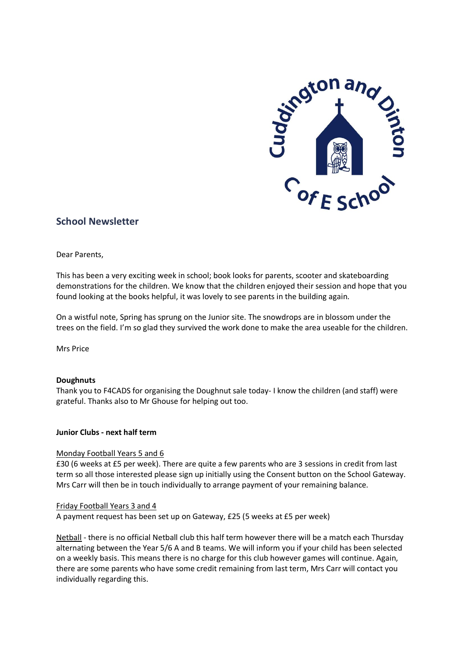

# **School Newsletter**

Dear Parents,

This has been a very exciting week in school; book looks for parents, scooter and skateboarding demonstrations for the children. We know that the children enjoyed their session and hope that you found looking at the books helpful, it was lovely to see parents in the building again.

On a wistful note, Spring has sprung on the Junior site. The snowdrops are in blossom under the trees on the field. I'm so glad they survived the work done to make the area useable for the children.

Mrs Price

# **Doughnuts**

Thank you to F4CADS for organising the Doughnut sale today- I know the children (and staff) were grateful. Thanks also to Mr Ghouse for helping out too.

# **Junior Clubs - next half term**

#### Monday Football Years 5 and 6

£30 (6 weeks at £5 per week). There are quite a few parents who are 3 sessions in credit from last term so all those interested please sign up initially using the Consent button on the School Gateway. Mrs Carr will then be in touch individually to arrange payment of your remaining balance.

# Friday Football Years 3 and 4

A payment request has been set up on Gateway, £25 (5 weeks at £5 per week)

Netball - there is no official Netball club this half term however there will be a match each Thursday alternating between the Year 5/6 A and B teams. We will inform you if your child has been selected on a weekly basis. This means there is no charge for this club however games will continue. Again, there are some parents who have some credit remaining from last term, Mrs Carr will contact you individually regarding this.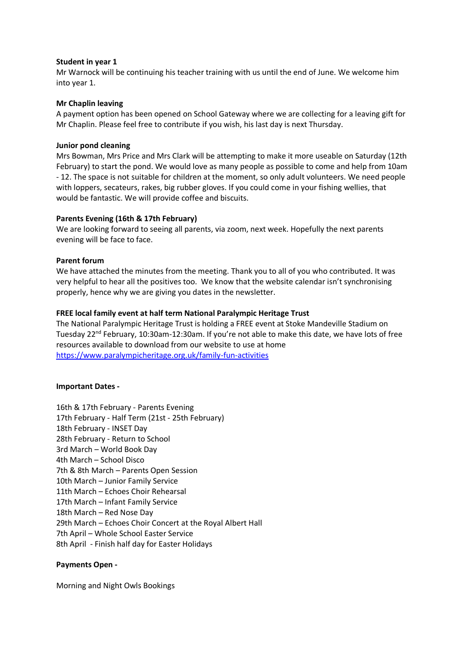#### **Student in year 1**

Mr Warnock will be continuing his teacher training with us until the end of June. We welcome him into year 1.

#### **Mr Chaplin leaving**

A payment option has been opened on School Gateway where we are collecting for a leaving gift for Mr Chaplin. Please feel free to contribute if you wish, his last day is next Thursday.

#### **Junior pond cleaning**

Mrs Bowman, Mrs Price and Mrs Clark will be attempting to make it more useable on Saturday (12th February) to start the pond. We would love as many people as possible to come and help from 10am - 12. The space is not suitable for children at the moment, so only adult volunteers. We need people with loppers, secateurs, rakes, big rubber gloves. If you could come in your fishing wellies, that would be fantastic. We will provide coffee and biscuits.

# **Parents Evening (16th & 17th February)**

We are looking forward to seeing all parents, via zoom, next week. Hopefully the next parents evening will be face to face.

#### **Parent forum**

We have attached the minutes from the meeting. Thank you to all of you who contributed. It was very helpful to hear all the positives too. We know that the website calendar isn't synchronising properly, hence why we are giving you dates in the newsletter.

#### **FREE local family event at half term National Paralympic Heritage Trust**

The National Paralympic Heritage Trust is holding a FREE event at Stoke Mandeville Stadium on Tuesday 22<sup>nd</sup> February, 10:30am-12:30am. If you're not able to make this date, we have lots of free resources available to download from our website to use at home <https://www.paralympicheritage.org.uk/family-fun-activities>

#### **Important Dates -**

16th & 17th February - Parents Evening 17th February - Half Term (21st - 25th February) 18th February - INSET Day 28th February - Return to School 3rd March – World Book Day 4th March – School Disco 7th & 8th March – Parents Open Session 10th March – Junior Family Service 11th March – Echoes Choir Rehearsal 17th March – Infant Family Service 18th March – Red Nose Day 29th March – Echoes Choir Concert at the Royal Albert Hall 7th April – Whole School Easter Service 8th April - Finish half day for Easter Holidays

# **Payments Open -**

Morning and Night Owls Bookings